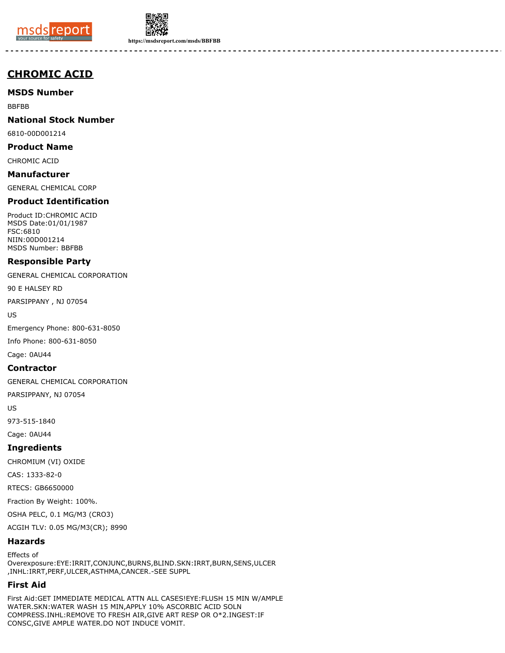



**https://msdsreport.com/msds/BBFBB**

# **CHROMIC ACID**

**MSDS Number**

BBFBB

**National Stock Number**

6810-00D001214

**Product Name**

CHROMIC ACID

**Manufacturer** GENERAL CHEMICAL CORP

# **Product Identification**

Product ID:CHROMIC ACID MSDS Date:01/01/1987 FSC:6810 NIIN:00D001214 MSDS Number: BBFBB

## **Responsible Party**

GENERAL CHEMICAL CORPORATION

90 E HALSEY RD

PARSIPPANY , NJ 07054

US

Emergency Phone: 800-631-8050

Info Phone: 800-631-8050

Cage: 0AU44

## **Contractor**

GENERAL CHEMICAL CORPORATION

PARSIPPANY, NJ 07054

US

973-515-1840

Cage: 0AU44

# **Ingredients**

CHROMIUM (VI) OXIDE

CAS: 1333-82-0

RTECS: GB6650000

Fraction By Weight: 100%.

OSHA PELC, 0.1 MG/M3 (CRO3)

ACGIH TLV: 0.05 MG/M3(CR); 8990

# **Hazards**

Effects of Overexposure:EYE:IRRIT,CONJUNC,BURNS,BLIND.SKN:IRRT,BURN,SENS,ULCER ,INHL:IRRT,PERF,ULCER,ASTHMA,CANCER.-SEE SUPPL

# **First Aid**

First Aid:GET IMMEDIATE MEDICAL ATTN ALL CASES!EYE:FLUSH 15 MIN W/AMPLE WATER.SKN:WATER WASH 15 MIN,APPLY 10% ASCORBIC ACID SOLN COMPRESS.INHL:REMOVE TO FRESH AIR,GIVE ART RESP OR O\*2.INGEST:IF CONSC,GIVE AMPLE WATER.DO NOT INDUCE VOMIT.